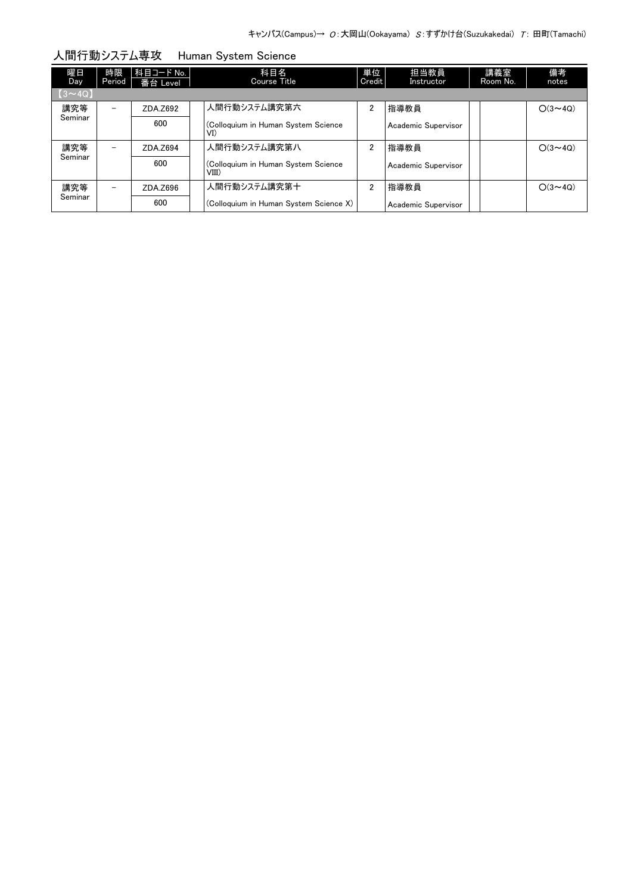| 曜日<br>Day     | 時限<br>Period | 科目コード No.  <br>番台 Level | 科目名<br>Course Title                          | 単位<br>Credit   | 担当教員<br>Instructor  | 講義室<br>Room No. | 備考<br>notes    |
|---------------|--------------|-------------------------|----------------------------------------------|----------------|---------------------|-----------------|----------------|
| $[3 \sim 4Q]$ |              |                         |                                              |                |                     |                 |                |
| 講究等           |              | ZDA.Z692                | 人間行動システム講究第六                                 | $\overline{2}$ | 指導教員                |                 | $O(3 \sim 4Q)$ |
| Seminar       |              | 600                     | (Colloquium in Human System Science<br>VI)   |                | Academic Supervisor |                 |                |
| 講究等           | -            | ZDA.Z694                | 人間行動システム講究第八                                 | 2              | 指導教員                |                 | $O(3 \sim 40)$ |
| Seminar       |              | 600                     | (Colloquium in Human System Science<br>VIII) |                | Academic Supervisor |                 |                |
| 講究等           | -            | ZDA.Z696                | 人間行動システム講究第十                                 | 2              | 指導教員                |                 | $O(3 \sim 40)$ |
| Seminar       |              | 600                     | (Colloquium in Human System Science X)       |                | Academic Supervisor |                 |                |

人間行動システム専攻 Human System Science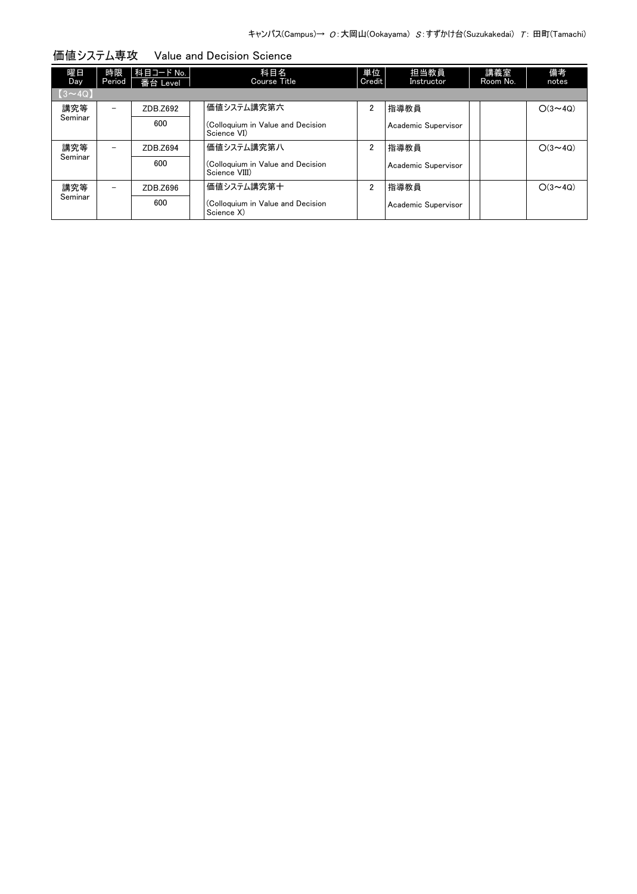| 曜日<br>Day     | 時限<br>Period             | 科目コード No.  <br>番台 Level | 科目名<br>Course Title                                | 単位<br>Credit   | 担当教員<br>Instructor  | 講義室<br>Room No. | 備考<br>notes    |
|---------------|--------------------------|-------------------------|----------------------------------------------------|----------------|---------------------|-----------------|----------------|
| $[3 \sim 4Q]$ |                          |                         |                                                    |                |                     |                 |                |
| 講究等           | -                        | ZDB.Z692                | 価値システム講究第六                                         | $\overline{2}$ | 指導教員                |                 | $O(3 \sim 4Q)$ |
| Seminar       |                          | 600                     | (Colloquium in Value and Decision<br>Science VI)   |                | Academic Supervisor |                 |                |
| 講究等           | $\overline{\phantom{0}}$ | ZDB.Z694                | 価値システム講究第八                                         | $\overline{2}$ | 指導教員                |                 | $O(3 \sim 40)$ |
| Seminar       |                          | 600                     | (Colloquium in Value and Decision<br>Science VIII) |                | Academic Supervisor |                 |                |
| 講究等           | $\overline{\phantom{0}}$ | ZDB.Z696                | 価値システム講究第十                                         | $\overline{2}$ | 指導教員                |                 | $O(3 \sim 4Q)$ |
| Seminar       |                          | 600                     | (Colloquium in Value and Decision<br>Science X)    |                | Academic Supervisor |                 |                |

価値システム専攻 Value and Decision Science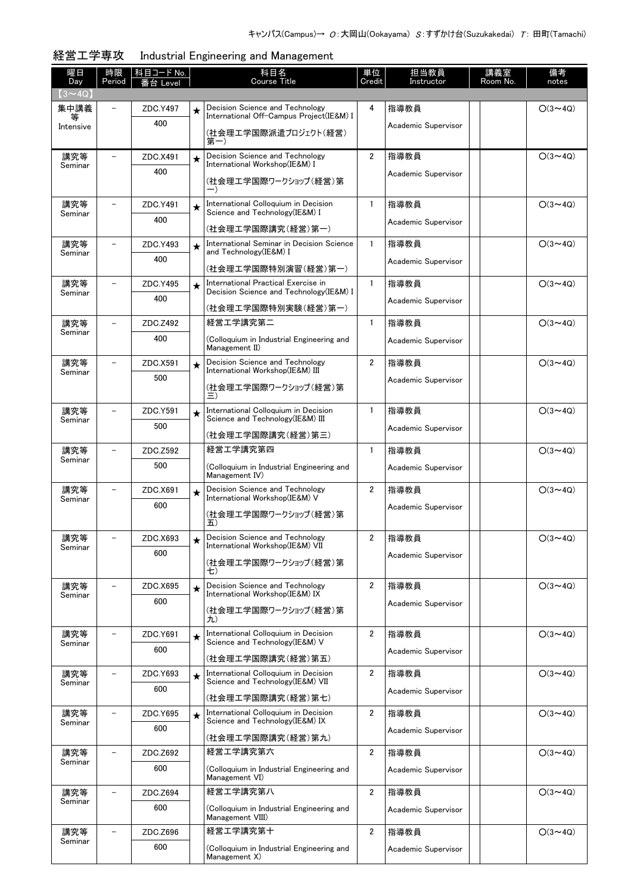| 曜日<br>Day      | 時限<br>Period             | <u>科目コード No.</u><br>番台 Level |         | 科目名<br><b>Course Title</b>                                                      | 単位<br>Credit            | 担当教員<br>Instructor  | 講義室<br>Room No. | 備考<br>notes    |
|----------------|--------------------------|------------------------------|---------|---------------------------------------------------------------------------------|-------------------------|---------------------|-----------------|----------------|
| $(3 \sim 4Q)$  |                          |                              |         |                                                                                 |                         |                     |                 |                |
| 集中講義<br>等      |                          | ZDC.Y497                     | $\star$ | Decision Science and Technology<br>International Off-Campus Project(IE&M) I     | 4                       | 指導教員                |                 | $O(3 \sim 4Q)$ |
| Intensive      |                          | 400                          |         | (社会理工学国際派遣プロジェクト(経営)<br>第一)                                                     |                         | Academic Supervisor |                 |                |
| 講究等            |                          | ZDC.X491                     | $\star$ | Decision Science and Technology<br>International Workshop(IE&M) I               | $\overline{2}$          | 指導教員                |                 | $O(3 \sim 4Q)$ |
| Seminar        |                          | 400                          |         | (社会理工学国際ワークショップ(経営)第                                                            |                         | Academic Supervisor |                 |                |
| 講究等<br>Seminar |                          | ZDC.Y491                     | $\star$ | International Colloquium in Decision<br>Science and Technology (IE&M) I         | $\mathbf{1}$            | 指導教員                |                 | $O(3 \sim 4Q)$ |
|                |                          | 400                          |         | (社会理工学国際講究(経営)第一)                                                               |                         | Academic Supervisor |                 |                |
| 講究等            | $\overline{\phantom{0}}$ | ZDC.Y493                     | $\star$ | International Seminar in Decision Science<br>and Technology(IE&M) I             | $\mathbf{1}$            | 指導教員                |                 | $O(3 \sim 4Q)$ |
| Seminar        |                          | 400                          |         | (社会理工学国際特別演習(経営)第一)                                                             |                         | Academic Supervisor |                 |                |
| 講究等<br>Seminar |                          | ZDC.Y495                     | $\star$ | International Practical Exercise in<br>Decision Science and Technology (IE&M) I | $\mathbf{1}$            | 指導教員                |                 | $O(3 \sim 4Q)$ |
|                |                          | 400                          |         | (社会理工学国際特別実験(経営)第一)                                                             |                         | Academic Supervisor |                 |                |
| 講究等            |                          | ZDC.Z492                     |         | 経営工学講究第二                                                                        | $\mathbf{1}$            | 指導教員                |                 | $O(3 \sim 4Q)$ |
| Seminar        |                          | 400                          |         | (Colloquium in Industrial Engineering and<br>Management II)                     |                         | Academic Supervisor |                 |                |
| 講究等<br>Seminar |                          | ZDC.X591                     | $\star$ | Decision Science and Technology<br>International Workshop(IE&M) III             | $\overline{2}$          | 指導教員                |                 | $O(3 \sim 4Q)$ |
|                |                          | 500                          |         | (社会理工学国際ワークショップ(経営)第<br>三)                                                      |                         | Academic Supervisor |                 |                |
| 講究等<br>Seminar |                          | ZDC.Y591                     | $\star$ | International Colloquium in Decision<br>Science and Technology (IE&M) III       | $\mathbf{1}$            | 指導教員                |                 | $O(3 \sim 4Q)$ |
|                |                          | 500                          |         | (社会理工学国際講究(経営)第三)                                                               |                         | Academic Supervisor |                 |                |
| 講究等            |                          | ZDC.Z592                     |         | 経営工学講究第四                                                                        | $\mathbf{1}$            | 指導教員                |                 | $O(3 \sim 4Q)$ |
| Seminar        |                          | 500                          |         | (Colloquium in Industrial Engineering and<br>Management IV)                     |                         | Academic Supervisor |                 |                |
| 講究等<br>Seminar |                          | ZDC.X691                     | $\star$ | Decision Science and Technology<br>International Workshop(IE&M) V               | $\overline{2}$          | 指導教員                |                 | $O(3 \sim 4Q)$ |
|                |                          | 600                          |         | (社会理工学国際ワークショップ(経営)第<br>五)                                                      |                         | Academic Supervisor |                 |                |
| 講究等            | $\overline{\phantom{0}}$ | ZDC.X693                     | $\star$ | Decision Science and Technology<br>International Workshop(IE&M) VII             | $\overline{2}$          | 指導教員                |                 | $O(3 \sim 4Q)$ |
| Seminar        |                          | 600                          |         | (社会理工学国際ワークショップ(経営)第<br>七)                                                      |                         | Academic Supervisor |                 |                |
| 講究等            |                          | ZDC.X695                     | $\star$ | Decision Science and Technology<br>International Workshop(IE&M) IX              | $\overline{2}$          | 指導教員                |                 | $O(3 \sim 4Q)$ |
| Seminar        |                          | 600                          |         | (社会理工学国際ワークショップ(経営)第                                                            |                         | Academic Supervisor |                 |                |
|                |                          |                              |         | 九)                                                                              |                         |                     |                 |                |
| 講究等<br>Seminar |                          | ZDC.Y691<br>600              | $\star$ | International Colloguium in Decision<br>Science and Technology (IE&M) V         | 2                       | 指導教員                |                 | $O(3 \sim 4Q)$ |
|                |                          |                              |         | (社会理工学国際講究(経営)第五)                                                               |                         | Academic Supervisor |                 |                |
| 講究等<br>Seminar |                          | ZDC.Y693                     | $\star$ | International Colloquium in Decision<br>Science and Technology(IE&M) VII        | 2                       | 指導教員                |                 | $O(3 \sim 4Q)$ |
|                |                          | 600                          |         | (社会理工学国際講究(経営)第七)                                                               |                         | Academic Supervisor |                 |                |
| 講究等<br>Seminar |                          | ZDC.Y695                     | $\star$ | International Colloquium in Decision<br>Science and Technology(IE&M) IX         | $\overline{2}$          | 指導教員                |                 | $O(3 \sim 4Q)$ |
|                |                          | 600                          |         | (社会理工学国際講究(経営)第九)                                                               |                         | Academic Supervisor |                 |                |
| 講究等            |                          | ZDC.Z692                     |         | 経営工学講究第六                                                                        | $\overline{2}$          | 指導教員                |                 | $O(3 \sim 4Q)$ |
| Seminar        |                          | 600                          |         | (Colloquium in Industrial Engineering and<br>Management VI)                     |                         | Academic Supervisor |                 |                |
| 講究等<br>Seminar | -                        | ZDC.Z694                     |         | 経営工学講究第八                                                                        | $\overline{2}$          | 指導教員                |                 | $O(3 \sim 4Q)$ |
|                |                          | 600                          |         | (Colloquium in Industrial Engineering and<br>Management VIII)                   |                         | Academic Supervisor |                 |                |
| 講究等<br>Seminar |                          | ZDC.Z696                     |         | 経営工学講究第十                                                                        | $\overline{\mathbf{2}}$ | 指導教員                |                 | $O(3 \sim 4Q)$ |
|                |                          | 600                          |         | (Colloquium in Industrial Engineering and<br>Management X)                      |                         | Academic Supervisor |                 |                |

## 経営工学専攻 Industrial Engineering and Management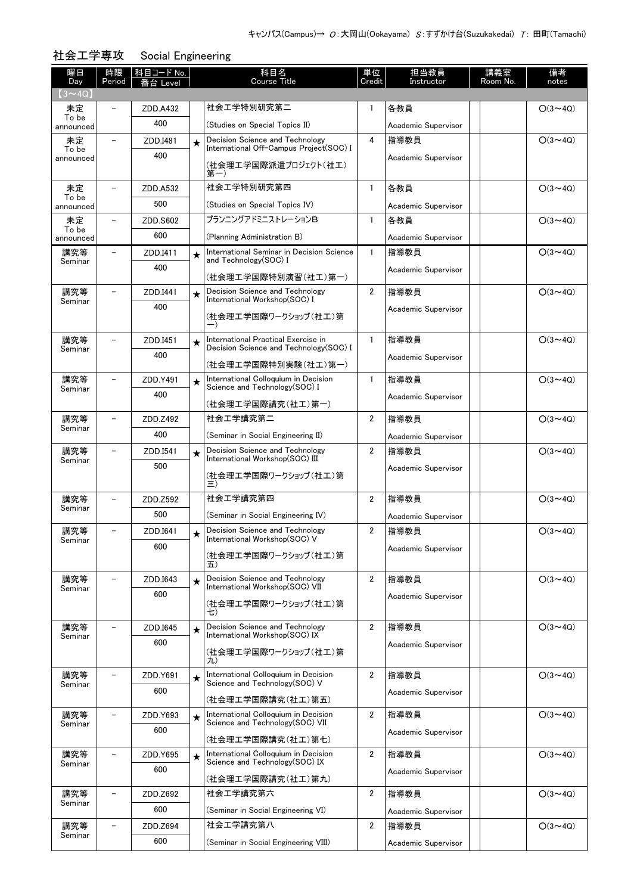| 曜日<br>Day          | 時限<br>Period             | 科目コード No.<br>台 Level |         | 科目名<br><b>Course Title</b>                                                     | 単位<br>Credit   | 担当教員<br>Instructor  | 講義室<br>Room No. | 備考<br>notes    |
|--------------------|--------------------------|----------------------|---------|--------------------------------------------------------------------------------|----------------|---------------------|-----------------|----------------|
| $(3 \sim 4Q)$      |                          |                      |         |                                                                                |                |                     |                 |                |
| 未定                 |                          | ZDD.A432             |         | 社会工学特別研究第二                                                                     | 1              | 各教員                 |                 | $O(3 \sim 4Q)$ |
| To be<br>announced |                          | 400                  |         | (Studies on Special Topics II)                                                 |                | Academic Supervisor |                 |                |
| 未定                 |                          | ZDD.I481             | $\star$ | Decision Science and Technology                                                | 4              | 指導教員                |                 | $O(3 \sim 4Q)$ |
| To be<br>announced |                          | 400                  |         | International Off-Campus Project(SOC) I                                        |                | Academic Supervisor |                 |                |
|                    |                          |                      |         | (社会理エ学国際派遣プロジェクト(社エ)<br>第一)                                                    |                |                     |                 |                |
| 未定                 |                          | ZDD.A532             |         | 社会工学特別研究第四                                                                     | 1              | 各教員                 |                 | $O(3 \sim 4Q)$ |
| To be<br>announced |                          | 500                  |         | (Studies on Special Topics IV)                                                 |                | Academic Supervisor |                 |                |
| 未定                 |                          | ZDD.S602             |         | プランニングアドミニストレーションB                                                             | 1              | 各教員                 |                 | $O(3 \sim 4Q)$ |
| To be<br>announced |                          | 600                  |         | (Planning Administration B)                                                    |                | Academic Supervisor |                 |                |
| 講究等                |                          | ZDD.I411             | $\star$ | International Seminar in Decision Science                                      | 1              | 指導教員                |                 | $O(3 \sim 4Q)$ |
| Seminar            |                          | 400                  |         | and Technology(SOC) I                                                          |                | Academic Supervisor |                 |                |
|                    |                          |                      |         | (社会理工学国際特別演習(社工)第一)                                                            |                |                     |                 |                |
| 講究等<br>Seminar     |                          | ZDD.I441             | $\star$ | Decision Science and Technology<br>International Workshop(SOC) I               | $\overline{2}$ | 指導教員                |                 | $O(3 \sim 4Q)$ |
|                    |                          | 400                  |         | (社会理工学国際ワークショップ(社工)第                                                           |                | Academic Supervisor |                 |                |
|                    |                          |                      |         |                                                                                |                |                     |                 |                |
| 講究等<br>Seminar     |                          | ZDD.I451             | $\star$ | International Practical Exercise in<br>Decision Science and Technology (SOC) I | $\mathbf{1}$   | 指導教員                |                 | $O(3 \sim 4Q)$ |
|                    |                          | 400                  |         | (社会理工学国際特別実験(社工)第一)                                                            |                | Academic Supervisor |                 |                |
| 講究等                |                          | ZDD.Y491             | $\star$ | International Colloquium in Decision                                           | 1              | 指導教員                |                 | $O(3 \sim 4Q)$ |
| Seminar            |                          | 400                  |         | Science and Technology(SOC) I                                                  |                | Academic Supervisor |                 |                |
|                    |                          |                      |         | (社会理工学国際講究(社工)第一)                                                              |                |                     |                 |                |
| 講究等<br>Seminar     | $\overline{\phantom{0}}$ | ZDD.Z492             |         | 社会工学講究第二                                                                       | 2              | 指導教員                |                 | $O(3 \sim 4Q)$ |
|                    |                          | 400                  |         | (Seminar in Social Engineering II)                                             |                | Academic Supervisor |                 |                |
| 講究等<br>Seminar     |                          | ZDD.I541             | $\star$ | Decision Science and Technology<br>International Workshop(SOC) III             | $\overline{2}$ | 指導教員                |                 | $O(3 \sim 4Q)$ |
|                    |                          | 500                  |         | (社会理工学国際ワークショップ(社工)第                                                           |                | Academic Supervisor |                 |                |
|                    |                          |                      |         | Ξ)                                                                             |                |                     |                 |                |
| 講究等<br>Seminar     |                          | ZDD.Z592             |         | 社会工学講究第四                                                                       | $\overline{2}$ | 指導教員                |                 | $O(3 \sim 4Q)$ |
|                    |                          | 500                  |         | (Seminar in Social Engineering IV)                                             |                | Academic Supervisor |                 |                |
| 講究等<br>Seminar     |                          | ZDD.I641             |         | Decision Science and Technology<br>International Workshop(SOC) V               | $\overline{2}$ | 指導教員                |                 | $O(3 \sim 4Q)$ |
|                    |                          | 600                  |         | (社会理工学国際ワークショップ(社工)第                                                           |                | Academic Supervisor |                 |                |
|                    |                          |                      |         | 五)                                                                             |                |                     |                 |                |
| 講究等<br>Seminar     | $\overline{\phantom{0}}$ | ZDD.I643             | $\star$ | Decision Science and Technology<br>International Workshop(SOC) VII             | $\overline{2}$ | 指導教員                |                 | $O(3 \sim 4Q)$ |
|                    |                          | 600                  |         | (社会理工学国際ワークショップ(社工)第                                                           |                | Academic Supervisor |                 |                |
|                    |                          |                      |         | 七)                                                                             |                |                     |                 |                |
| 講究等<br>Seminar     |                          | ZDD.I645             | $\star$ | Decision Science and Technology<br>International Workshop(SOC) IX              | $\overline{2}$ | 指導教員                |                 | $O(3 \sim 4Q)$ |
|                    |                          | 600                  |         | (社会理工学国際ワークショップ(社工)第                                                           |                | Academic Supervisor |                 |                |
|                    |                          |                      |         | 九)                                                                             |                |                     |                 |                |
| 講究等<br>Seminar     |                          | ZDD.Y691             | $\star$ | International Colloquium in Decision<br>Science and Technology(SOC) V          | $\overline{2}$ | 指導教員                |                 | $O(3 \sim 4Q)$ |
|                    |                          | 600                  |         | (社会理工学国際講究(社工)第五)                                                              |                | Academic Supervisor |                 |                |
| 講究等                |                          | ZDD.Y693             | $\star$ | International Colloquium in Decision                                           | $\overline{2}$ | 指導教員                |                 | $O(3 \sim 4Q)$ |
| Seminar            |                          | 600                  |         | Science and Technology (SOC) VII                                               |                | Academic Supervisor |                 |                |
|                    |                          |                      |         | (社会理工学国際講究(社工)第七)                                                              |                |                     |                 |                |
| 講究等<br>Seminar     |                          | ZDD.Y695             | $\star$ | International Colloquium in Decision<br>Science and Technology(SOC) IX         | $\overline{2}$ | 指導教員                |                 | $O(3 \sim 4Q)$ |
|                    |                          | 600                  |         | (社会理工学国際講究(社工)第九)                                                              |                | Academic Supervisor |                 |                |
| 講究等                |                          | ZDD.Z692             |         | 社会工学講究第六                                                                       | 2              | 指導教員                |                 | $O(3 \sim 4Q)$ |
| Seminar            |                          | 600                  |         | (Seminar in Social Engineering VI)                                             |                | Academic Supervisor |                 |                |
| 講究等                |                          | ZDD.Z694             |         | 社会工学講究第八                                                                       | 2              | 指導教員                |                 | $O(3 \sim 4Q)$ |
| Seminar            |                          | 600                  |         | (Seminar in Social Engineering VIII)                                           |                | Academic Supervisor |                 |                |

社会工学専攻 Social Engineering